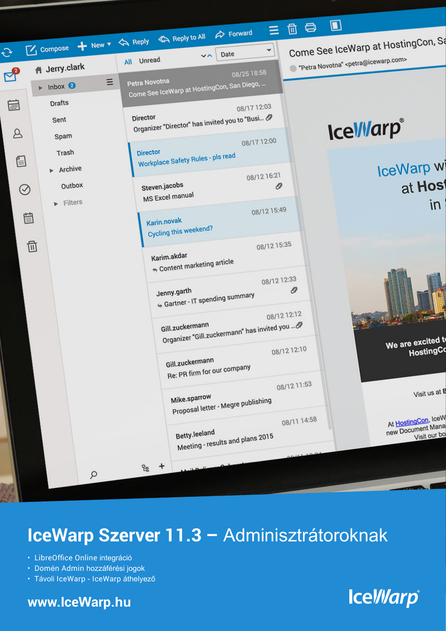

# IceWarp Szerver 11.3 - Adminisztrátoroknak

- · LibreOffice Online integráció
- · Domén Admin hozzáférési jogok
- · Távoli IceWarp IceWarp áthelyező

#### www.lceWarp.hu

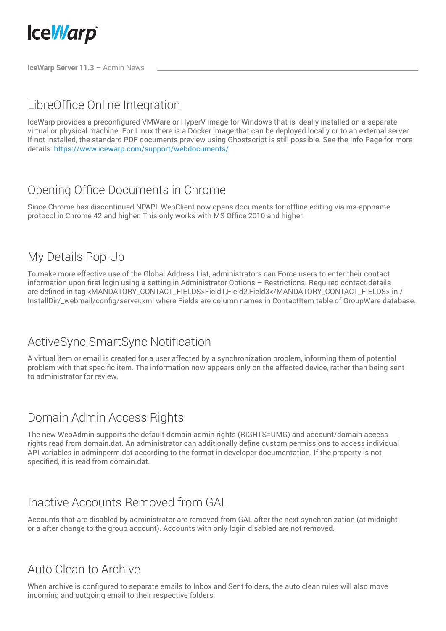

**IceWarp Server 11.3** – Admin News

# LibreOffice Online Integration

IceWarp provides a preconfigured VMWare or HyperV image for Windows that is ideally installed on a separate virtual or physical machine. For Linux there is a Docker image that can be deployed locally or to an external server. If not installed, the standard PDF documents preview using Ghostscript is still possible. See the Info Page for more details: https://www.icewarp.com/support/webdocuments/

# Opening Office Documents in Chrome

Since Chrome has discontinued NPAPI, WebClient now opens documents for offline editing via ms-appname protocol in Chrome 42 and higher. This only works with MS Office 2010 and higher.

#### My Details Pop-Up

To make more effective use of the Global Address List, administrators can Force users to enter their contact information upon first login using a setting in Administrator Options – Restrictions. Required contact details are defined in tag <MANDATORY\_CONTACT\_FIELDS>Field1,Field2,Field3</MANDATORY\_CONTACT\_FIELDS> in / InstallDir/\_webmail/config/server.xml where Fields are column names in ContactItem table of GroupWare database.

### ActiveSync SmartSync Notification

A virtual item or email is created for a user affected by a synchronization problem, informing them of potential problem with that specific item. The information now appears only on the affected device, rather than being sent to administrator for review.

#### Domain Admin Access Rights

The new WebAdmin supports the default domain admin rights (RIGHTS=UMG) and account/domain access rights read from domain.dat. An administrator can additionally define custom permissions to access individual API variables in adminperm.dat according to the format in developer documentation. If the property is not specified, it is read from domain.dat.

#### Inactive Accounts Removed from GAL

Accounts that are disabled by administrator are removed from GAL after the next synchronization (at midnight or a after change to the group account). Accounts with only login disabled are not removed.

### Auto Clean to Archive

When archive is configured to separate emails to Inbox and Sent folders, the auto clean rules will also move incoming and outgoing email to their respective folders.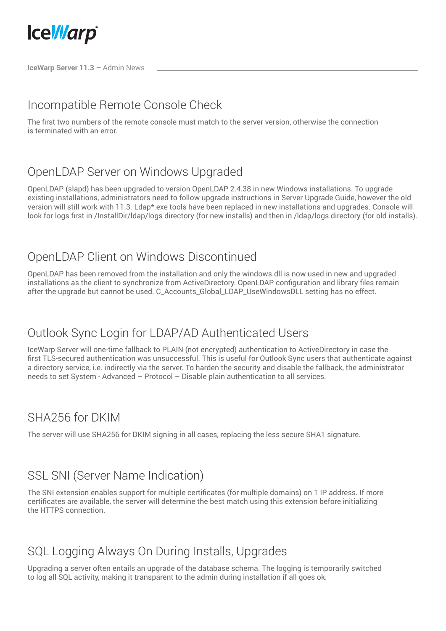

**IceWarp Server 11.3** – Admin News

## Incompatible Remote Console Check

The first two numbers of the remote console must match to the server version, otherwise the connection is terminated with an error.

## OpenLDAP Server on Windows Upgraded

OpenLDAP (slapd) has been upgraded to version OpenLDAP 2.4.38 in new Windows installations. To upgrade existing installations, administrators need to follow upgrade instructions in Server Upgrade Guide, however the old version will still work with 11.3. Ldap\*.exe tools have been replaced in new installations and upgrades. Console will look for logs first in /InstallDir/ldap/logs directory (for new installs) and then in /ldap/logs directory (for old installs).

### OpenLDAP Client on Windows Discontinued

OpenLDAP has been removed from the installation and only the windows.dll is now used in new and upgraded installations as the client to synchronize from ActiveDirectory. OpenLDAP configuration and library files remain after the upgrade but cannot be used. C\_Accounts\_Global\_LDAP\_UseWindowsDLL setting has no effect.

### Outlook Sync Login for LDAP/AD Authenticated Users

IceWarp Server will one-time fallback to PLAIN (not encrypted) authentication to ActiveDirectory in case the first TLS-secured authentication was unsuccessful. This is useful for Outlook Sync users that authenticate against a directory service, i.e. indirectly via the server. To harden the security and disable the fallback, the administrator needs to set System - Advanced – Protocol – Disable plain authentication to all services.

### SHA256 for DKIM

The server will use SHA256 for DKIM signing in all cases, replacing the less secure SHA1 signature.

### SSL SNI (Server Name Indication)

The SNI extension enables support for multiple certificates (for multiple domains) on 1 IP address. If more certificates are available, the server will determine the best match using this extension before initializing the HTTPS connection.

### SQL Logging Always On During Installs, Upgrades

Upgrading a server often entails an upgrade of the database schema. The logging is temporarily switched to log all SQL activity, making it transparent to the admin during installation if all goes ok.